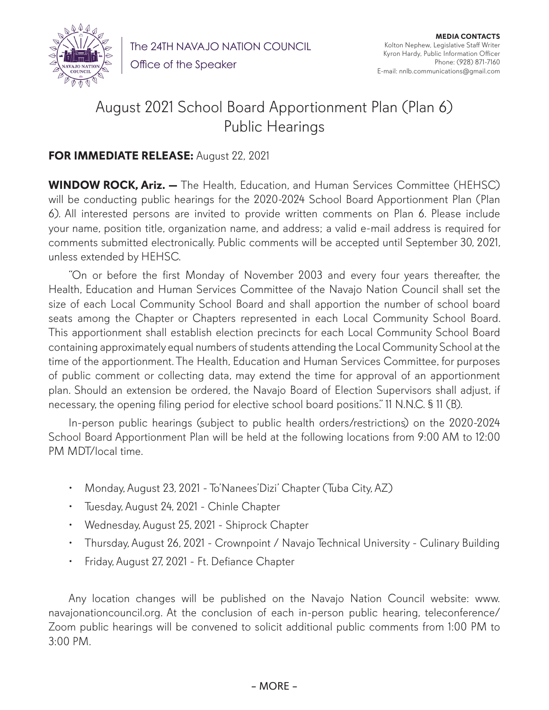

The 24TH NAVAJO NATION COUNCIL

Office of the Speaker

## August 2021 School Board Apportionment Plan (Plan 6) Public Hearings

## **FOR IMMEDIATE RELEASE:** August 22, 2021

**WINDOW ROCK, Ariz. —** The Health, Education, and Human Services Committee (HEHSC) will be conducting public hearings for the 2020-2024 School Board Apportionment Plan (Plan 6). All interested persons are invited to provide written comments on Plan 6. Please include your name, position title, organization name, and address; a valid e-mail address is required for comments submitted electronically. Public comments will be accepted until September 30, 2021, unless extended by HEHSC.

"On or before the first Monday of November 2003 and every four years thereafter, the Health, Education and Human Services Committee of the Navajo Nation Council shall set the size of each Local Community School Board and shall apportion the number of school board seats among the Chapter or Chapters represented in each Local Community School Board. This apportionment shall establish election precincts for each Local Community School Board containing approximately equal numbers of students attending the Local Community School at the time of the apportionment. The Health, Education and Human Services Committee, for purposes of public comment or collecting data, may extend the time for approval of an apportionment plan. Should an extension be ordered, the Navajo Board of Election Supervisors shall adjust, if necessary, the opening filing period for elective school board positions." 11 N.N.C. § 11 (B).

In-person public hearings (subject to public health orders/restrictions) on the 2020-2024 School Board Apportionment Plan will be held at the following locations from 9:00 AM to 12:00 PM MDT/local time.

- Monday, August 23, 2021 To'Nanees'Dizi' Chapter (Tuba City, AZ)
- Tuesday, August 24, 2021 Chinle Chapter
- Wednesday, August 25, 2021 Shiprock Chapter
- Thursday, August 26, 2021 Crownpoint / Navajo Technical University Culinary Building
- Friday, August 27, 2021 Ft. Defiance Chapter

Any location changes will be published on the Navajo Nation Council website: www. navajonationcouncil.org. At the conclusion of each in-person public hearing, teleconference/ Zoom public hearings will be convened to solicit additional public comments from 1:00 PM to 3:00 PM.